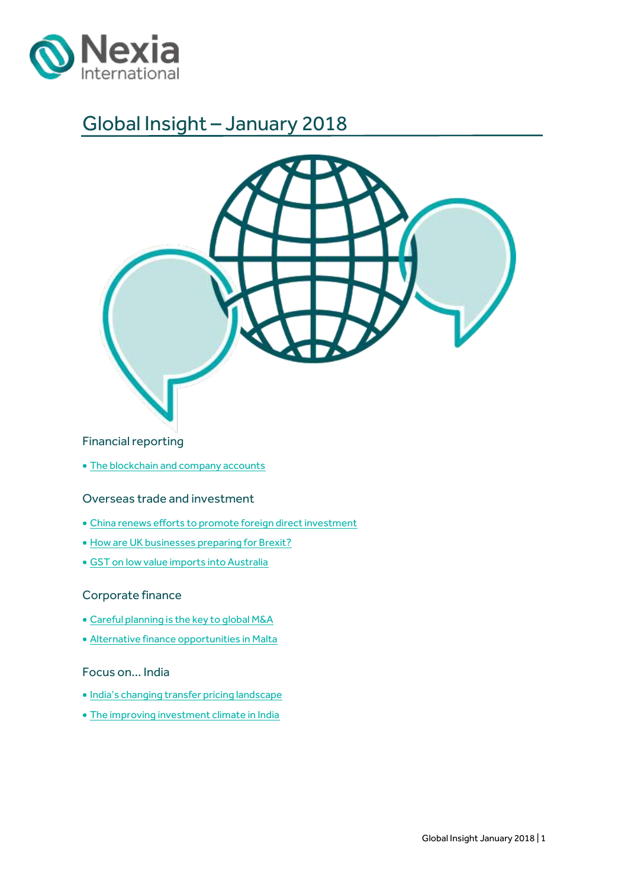

## Global Insight – January 2018



### Financial reporting

• [The blockchain and company accounts](#page-2-0)

### Overseas trade and investment

- [China renews efforts to promote foreign direct investment](#page-3-0)
- [How are UK businesses preparing for Brexit?](#page-7-0)
- [GST on low value imports into Australia](#page-9-0)

### Corporate finance

- [Careful planning is the key to global M&A](#page-11-0)
- [Alternative finance opportunities in Malta](#page-13-0)

### Focus on… India

- [India's changing transfer pricing landscape](#page-15-0)
- [The improving investment climate in India](#page-17-0)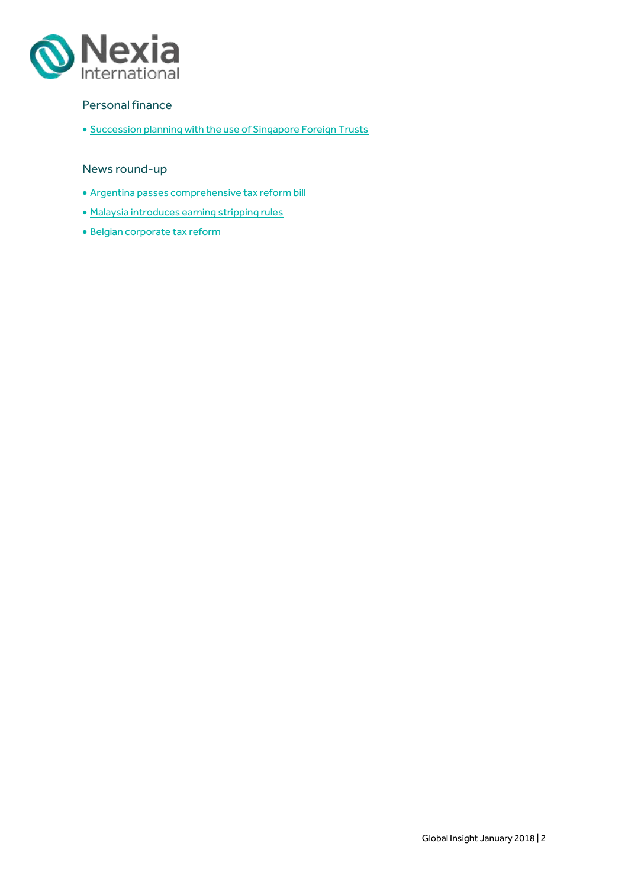

### Personal finance

**• [Succession planning with the use of Singapore Foreign Trusts](#page-19-0)** 

### News round-up

- [Argentina passes comprehensive tax reform bill](#page-21-0)
- [Malaysia introduces earning stripping rules](#page-23-0)
- · [Belgian corporate tax reform](#page-24-0)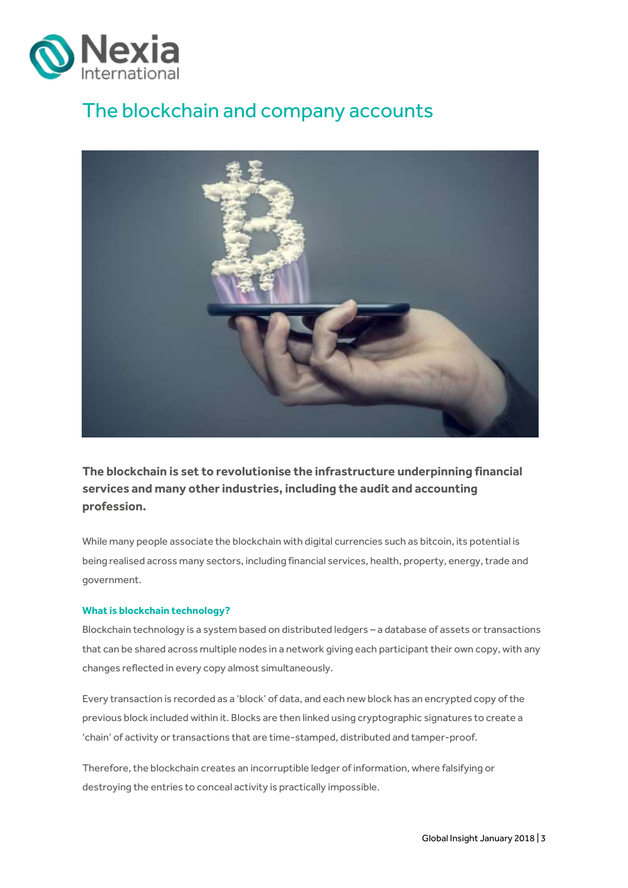

# <span id="page-2-0"></span>The blockchain and company accounts



**The blockchain is set to revolutionise the infrastructure underpinning financial services and many other industries, including the audit and accounting profession.**

While many people associate the blockchain with digital currencies such as bitcoin, its potential is being realised across many sectors, including financial services, health, property, energy, trade and government.

#### **What is blockchain technology?**

Blockchain technology is a system based on distributed ledgers – a database of assets or transactions that can be shared across multiple nodes in a network giving each participant their own copy, with any changes reflected in every copy almost simultaneously.

Every transaction is recorded as a 'block' of data, and each new block has an encrypted copy of the previous block included within it. Blocks are then linked using cryptographic signatures to create a 'chain' of activity or transactions that are time-stamped, distributed and tamper-proof.

Therefore, the blockchain creates an incorruptible ledger of information, where falsifying or destroying the entries to conceal activity is practically impossible.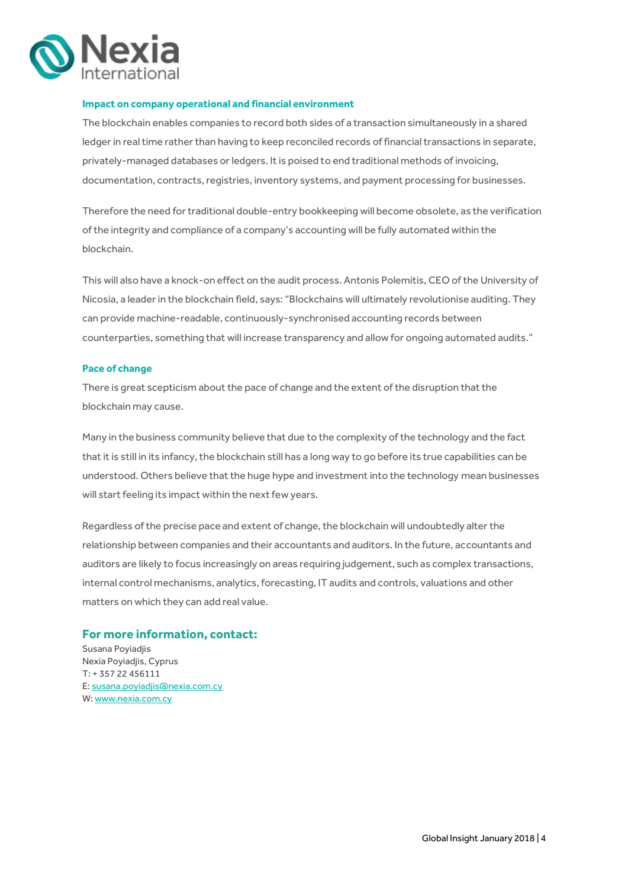

#### **Impact on company operational and financial environment**

The blockchain enables companies to record both sides of a transaction simultaneously in a shared ledger in real time rather than having to keep reconciled records of financial transactions in separate, privately-managed databases or ledgers. It is poised to end traditional methods of invoicing, documentation, contracts, registries, inventory systems, and payment processing for businesses.

Therefore the need for traditional double-entry bookkeeping will become obsolete, as the verification of the integrity and compliance of a company's accounting will be fully automated within the blockchain.

This will also have a knock-on effect on the audit process. Antonis Polemitis, CEO of the University of Nicosia, a leader in the blockchain field, says: "Blockchains will ultimately revolutionise auditing. They can provide machine-readable, continuously-synchronised accounting records between counterparties, something that will increase transparency and allow for ongoing automated audits."

#### **Pace of change**

There is great scepticism about the pace of change and the extent of the disruption that the blockchain may cause.

Many in the business community believe that due to the complexity of the technology and the fact that it is still in its infancy, the blockchain still has a long way to go before its true capabilities can be understood. Others believe that the huge hype and investment into the technology mean businesses will start feeling its impact within the next few years.

Regardless of the precise pace and extent of change, the blockchain will undoubtedly alter the relationship between companies and their accountants and auditors. In the future, accountants and auditors are likely to focus increasingly on areas requiring judgement, such as complex transactions, internal control mechanisms, analytics, forecasting, IT audits and controls, valuations and other matters on which they can add real value.

#### **For more information, contact:**

<span id="page-3-0"></span>Susana Poyiadjis Nexia Poyiadjis, Cyprus T: + 357 22 456111 E: susana.poyiadjis@nexia.com.cy W: ww[w.nexia.com.cy](http://www.nexia.com.cy/)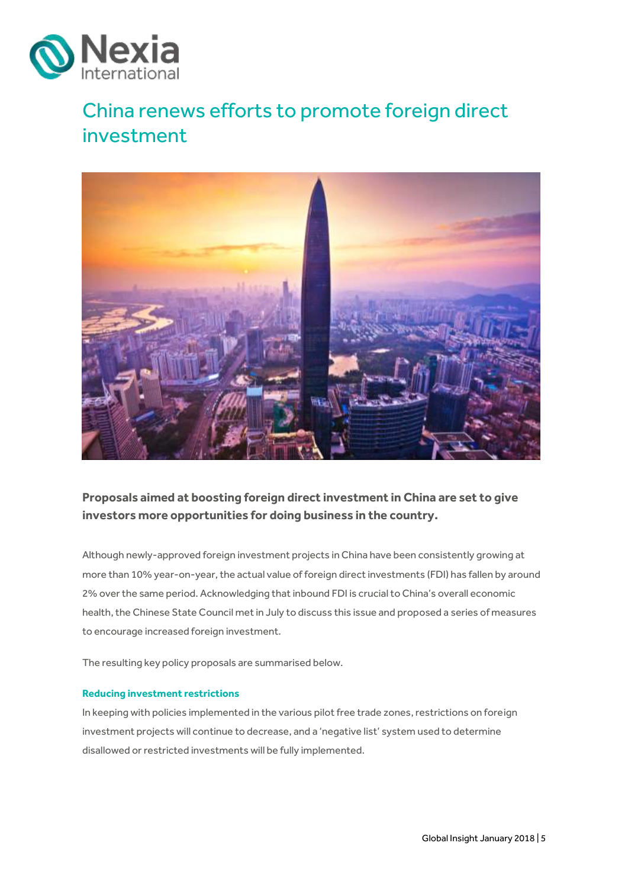

# China renews efforts to promote foreign direct investment



### **Proposals aimed at boosting foreign direct investment in China are set to give investors more opportunities for doing business in the country.**

Although newly-approved foreign investment projects in China have been consistently growing at more than 10% year-on-year, the actual value of foreign direct investments (FDI) has fallen by around 2% over the same period. Acknowledging that inbound FDI is crucial to China's overall economic health, the Chinese State Council met in July to discuss this issue and proposed a series of measures to encourage increased foreign investment.

The resulting key policy proposals are summarised below.

#### **Reducing investment restrictions**

In keeping with policies implemented in the various pilot free trade zones, restrictions on foreign investment projects will continue to decrease, and a 'negative list' system used to determine disallowed or restricted investments will be fully implemented.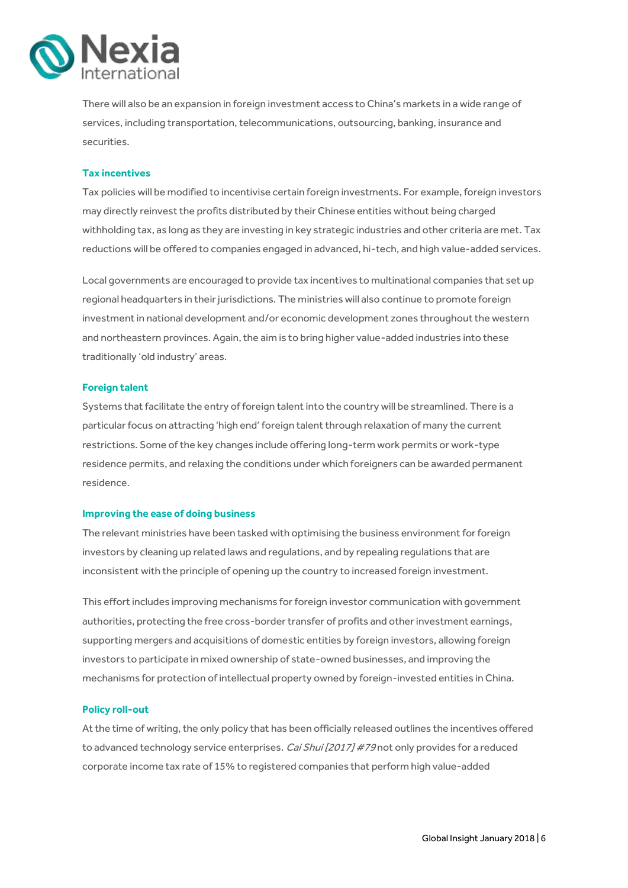

There will also be an expansion in foreign investment access to China's markets in a wide range of services, including transportation, telecommunications, outsourcing, banking, insurance and securities.

#### **Tax incentives**

Tax policies will be modified to incentivise certain foreign investments. For example, foreign investors may directly reinvest the profits distributed by their Chinese entities without being charged withholding tax, as long as they are investing in key strategic industries and other criteria are met. Tax reductions will be offered to companies engaged in advanced, hi-tech, and high value-added services.

Local governments are encouraged to provide tax incentives to multinational companies that set up regional headquarters in their jurisdictions. The ministries will also continue to promote foreign investment in national development and/or economic development zones throughout the western and northeastern provinces. Again, the aim is to bring higher value-added industries into these traditionally 'old industry' areas.

#### **Foreign talent**

Systems that facilitate the entry of foreign talent into the country will be streamlined. There is a particular focus on attracting 'high end' foreign talent through relaxation of many the current restrictions. Some of the key changes include offering long-term work permits or work-type residence permits, and relaxing the conditions under which foreigners can be awarded permanent residence.

#### **Improving the ease of doing business**

The relevant ministries have been tasked with optimising the business environment for foreign investors by cleaning up related laws and regulations, and by repealing regulations that are inconsistent with the principle of opening up the country to increased foreign investment.

This effort includes improving mechanisms for foreign investor communication with government authorities, protecting the free cross-border transfer of profits and other investment earnings, supporting mergers and acquisitions of domestic entities by foreign investors, allowing foreign investors to participate in mixed ownership of state-owned businesses, and improving the mechanisms for protection of intellectual property owned by foreign-invested entities in China.

#### **Policy roll-out**

At the time of writing, the only policy that has been officially released outlines the incentives offered to advanced technology service enterprises. Cai Shui [2017] #79 not only provides for a reduced corporate income tax rate of 15% to registered companies that perform high value-added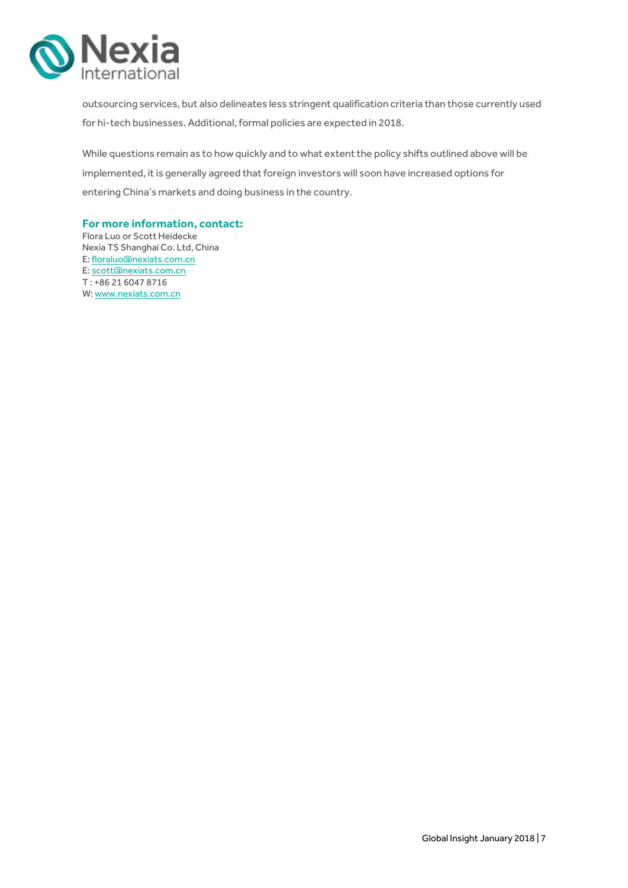

outsourcing services, but also delineates less stringent qualification criteria than those currently used for hi-tech businesses. Additional, formal policies are expected in 2018.

While questions remain as to how quickly and to what extent the policy shifts outlined above will be implemented, it is generally agreed that foreign investors will soon have increased options for entering China's markets and doing business in the country.

#### **For more information, contact:**

Flora Luo or Scott Heidecke Nexia TS Shanghai Co. Ltd, China E: floraluo@nexiats.com.cn E: scott@nexiats.com.cn T : +86 21 6047 8716 W: www.nexiats.com.cn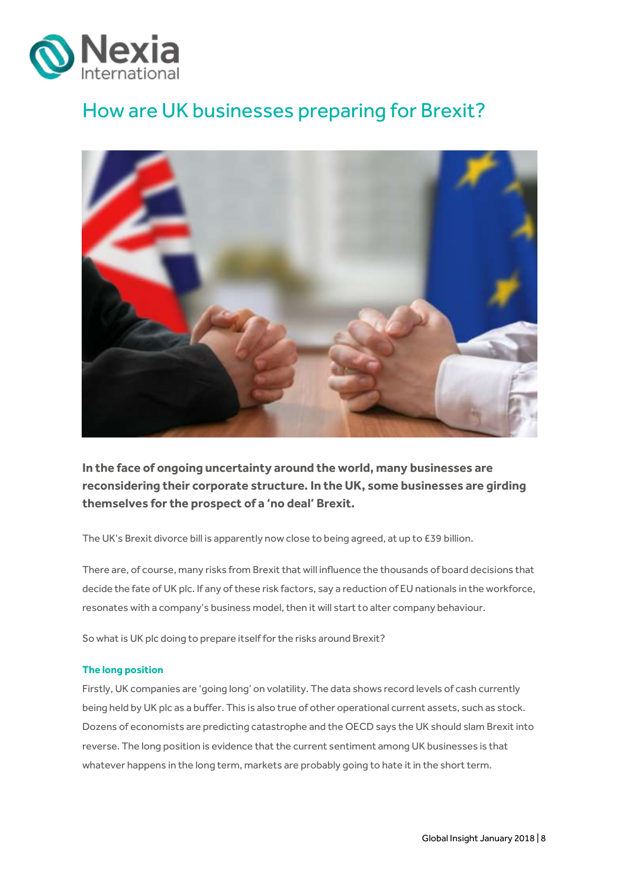

# <span id="page-7-0"></span>How are UK businesses preparing for Brexit?



**In the face of ongoing uncertainty around the world, many businesses are reconsidering their corporate structure. In the UK, some businesses are girding themselves for the prospect of a 'no deal' Brexit.**

The UK's Brexit divorce bill is apparently now close to being agreed, at up to £39 billion.

There are, of course, many risks from Brexit that will influence the thousands of board decisions that decide the fate of UK plc. If any of these risk factors, say a reduction of EU nationals in the workforce, resonates with a company's business model, then it will start to alter company behaviour.

So what is UK plc doing to prepare itself for the risks around Brexit?

#### **The long position**

Firstly, UK companies are 'going long' on volatility. The data shows record levels of cash currently being held by UK plc as a buffer. This is also true of other operational current assets, such as stock. Dozens of economists are predicting catastrophe and the OECD says the UK should slam Brexit into reverse. The long position is evidence that the current sentiment among UK businesses is that whatever happens in the long term, markets are probably going to hate it in the short term.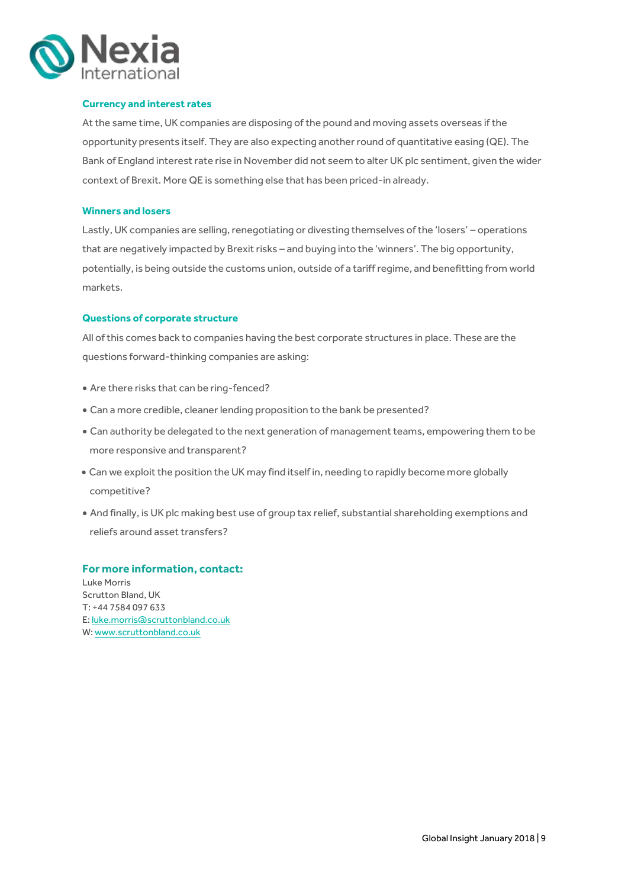

#### **Currency and interest rates**

At the same time, UK companies are disposing of the pound and moving assets overseas if the opportunity presents itself. They are also expecting another round of quantitative easing (QE). The Bank of England interest rate rise in November did not seem to alter UK plc sentiment, given the wider context of Brexit. More QE is something else that has been priced-in already.

#### **Winners and losers**

Lastly, UK companies are selling, renegotiating or divesting themselves of the 'losers' – operations that are negatively impacted by Brexit risks – and buying into the 'winners'. The big opportunity, potentially, is being outside the customs union, outside of a tariff regime, and benefitting from world markets.

#### **Questions of corporate structure**

All of this comes back to companies having the best corporate structures in place. These are the questions forward-thinking companies are asking:

- Are there risks that can be ring-fenced?
- Can a more credible, cleaner lending proposition to the bank be presented?
- Can authority be delegated to the next generation of management teams, empowering them to be more responsive and transparent?
- Can we exploit the position the UK may find itself in, needing to rapidly become more globally competitive?
- And finally, is UK plc making best use of group tax relief, substantial shareholding exemptions and reliefs around asset transfers?

#### **For more information, contact:**

Luke Morris Scrutton Bland, UK T: +44 7584 097 633 E[: luke.morris@scruttonbland.co.uk](mailto:luke.morris@scruttonbland.co.uk) W[: www.scruttonbland.co.uk](http://www.scruttonbland.co.uk/)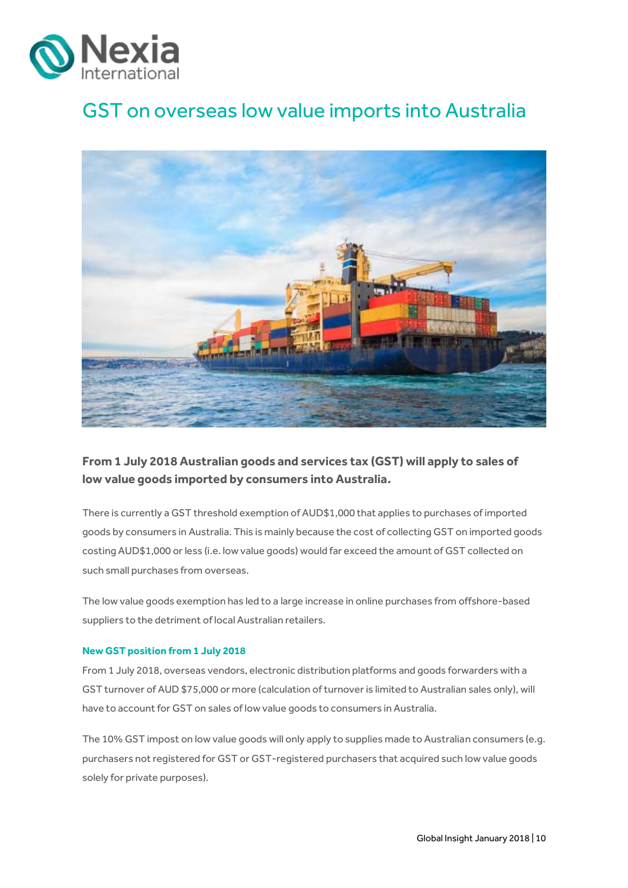

## <span id="page-9-0"></span>GST on overseas low value imports into Australia



### **From 1 July 2018 Australian goods and services tax (GST) will apply to sales of low value goods imported by consumers into Australia.**

There is currently a GST threshold exemption of AUD\$1,000 that applies to purchases of imported goods by consumers in Australia. This is mainly because the cost of collecting GST on imported goods costing AUD\$1,000 or less (i.e. low value goods) would far exceed the amount of GST collected on such small purchases from overseas.

The low value goods exemption has led to a large increase in online purchases from offshore-based suppliers to the detriment of local Australian retailers.

#### **New GST position from 1 July 2018**

From 1 July 2018, overseas vendors, electronic distribution platforms and goods forwarders with a GST turnover of AUD \$75,000 or more (calculation of turnover is limited to Australian sales only), will have to account for GST on sales of low value goods to consumers in Australia.

The 10% GST impost on low value goods will only apply to supplies made to Australian consumers (e.g. purchasers not registered for GST or GST-registered purchasers that acquired such low value goods solely for private purposes).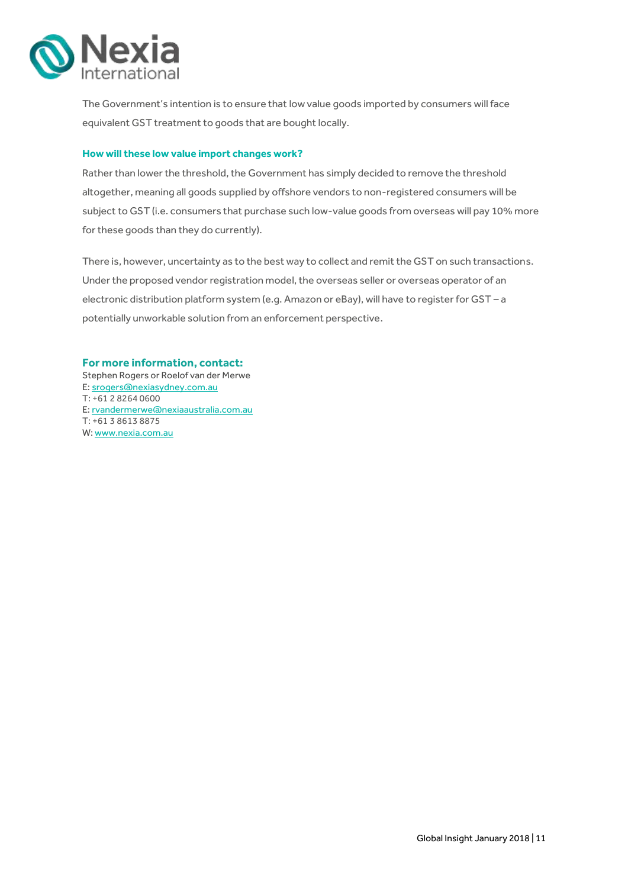

The Government's intention is to ensure that low value goods imported by consumers will face equivalent GST treatment to goods that are bought locally.

#### **How will these low value import changes work?**

Rather than lower the threshold, the Government has simply decided to remove the threshold altogether, meaning all goods supplied by offshore vendors to non-registered consumers will be subject to GST (i.e. consumers that purchase such low-value goods from overseas will pay 10% more for these goods than they do currently).

There is, however, uncertainty as to the best way to collect and remit the GST on such transactions. Under the proposed vendor registration model, the overseas seller or overseas operator of an electronic distribution platform system (e.g. Amazon or eBay), will have to register for GST – a potentially unworkable solution from an enforcement perspective.

#### **For more information, contact:**

Stephen Rogers or Roelof van der Merwe E[: srogers@nexiasydney.com.au](mailto:srogers@nexiasydney.com.au) T: +61 2 8264 0600 E[: rvandermerwe@nexiaaustralia.com.au](mailto:rvandermerwe@nexiaaustralia.com.au) T: +61 3 8613 8875 W[: www.nexia.com.au](http://www.nexia.com.au/)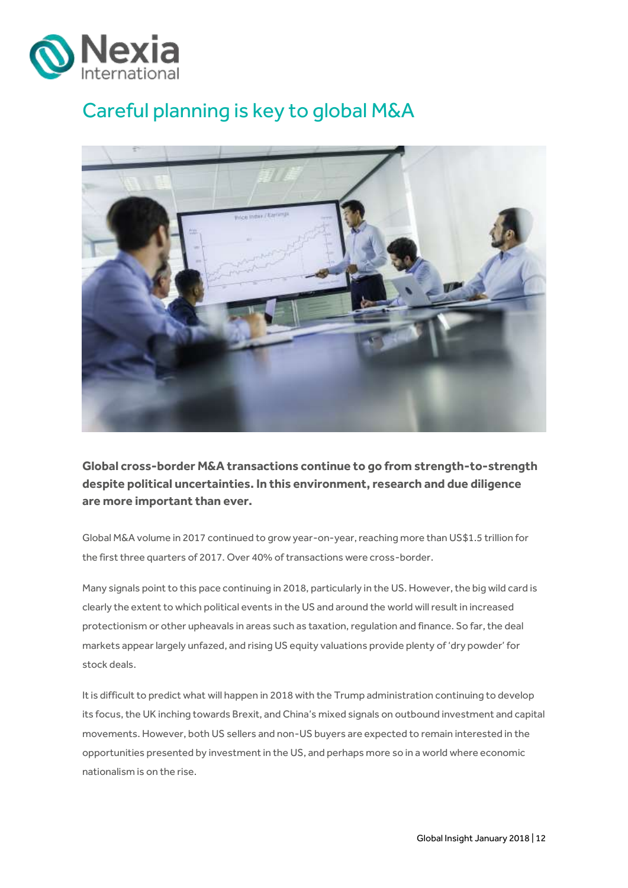

# <span id="page-11-0"></span>Careful planning is key to global M&A



**Global cross-border M&A transactions continue to go from strength-to-strength despite political uncertainties. In this environment, research and due diligence are more important than ever.** 

Global M&A volume in 2017 continued to grow year-on-year, reaching more than US\$1.5 trillion for the first three quarters of 2017. Over 40% of transactions were cross-border.

Many signals point to this pace continuing in 2018, particularly in the US. However, the big wild card is clearly the extent to which political events in the US and around the world will result in increased protectionism or other upheavals in areas such as taxation, regulation and finance. So far, the deal markets appear largely unfazed, and rising US equity valuations provide plenty of 'dry powder' for stock deals.

It is difficult to predict what will happen in 2018 with the Trump administration continuing to develop its focus, the UK inching towards Brexit, and China's mixed signals on outbound investment and capital movements. However, both US sellers and non-US buyers are expected to remain interested in the opportunities presented by investment in the US, and perhaps more so in a world where economic nationalism is on the rise.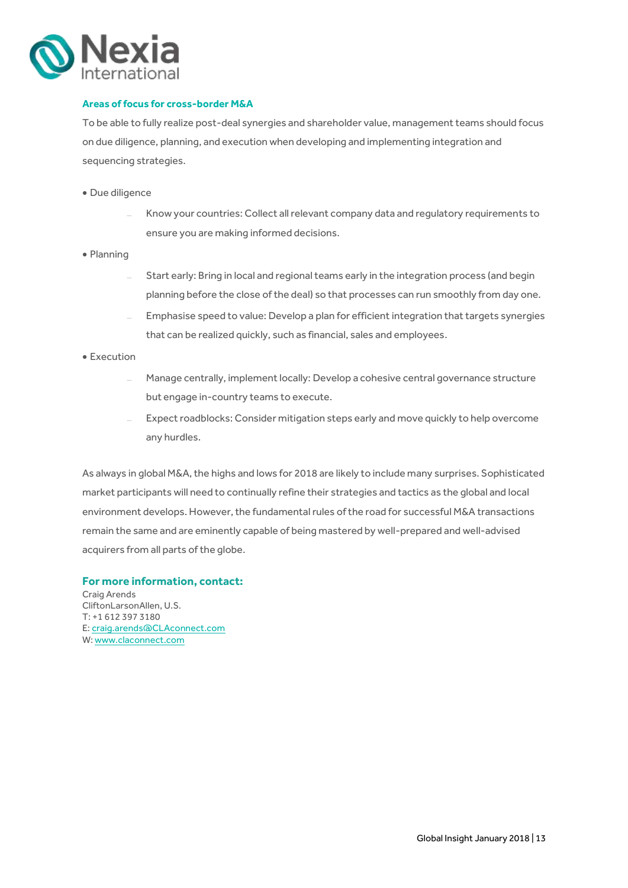

#### **Areas of focus for cross-border M&A**

To be able to fully realize post-deal synergies and shareholder value, management teams should focus on due diligence, planning, and execution when developing and implementing integration and sequencing strategies.

- · Due diligence
	- Know your countries: Collect all relevant company data and regulatory requirements to ensure you are making informed decisions.
- Planning
	- Start early: Bring in local and regional teams early in the integration process (and begin planning before the close of the deal) so that processes can run smoothly from day one.
	- Emphasise speed to value: Develop a plan for efficient integration that targets synergies that can be realized quickly, such as financial, sales and employees.
- Execution
	- Manage centrally, implement locally: Develop a cohesive central governance structure but engage in-country teams to execute.
	- Expect roadblocks: Consider mitigation steps early and move quickly to help overcome any hurdles.

As always in global M&A, the highs and lows for 2018 are likely to include many surprises. Sophisticated market participants will need to continually refine their strategies and tactics as the global and local environment develops. However, the fundamental rules of the road for successful M&A transactions remain the same and are eminently capable of being mastered by well-prepared and well-advised acquirers from all parts of the globe.

#### **For more information, contact:**

Craig Arends CliftonLarsonAllen, U.S. T: +1 612 397 3180 E: craig.arends@CLAconnect.com W: [www.claconnect.com](http://www.claconnect.com/)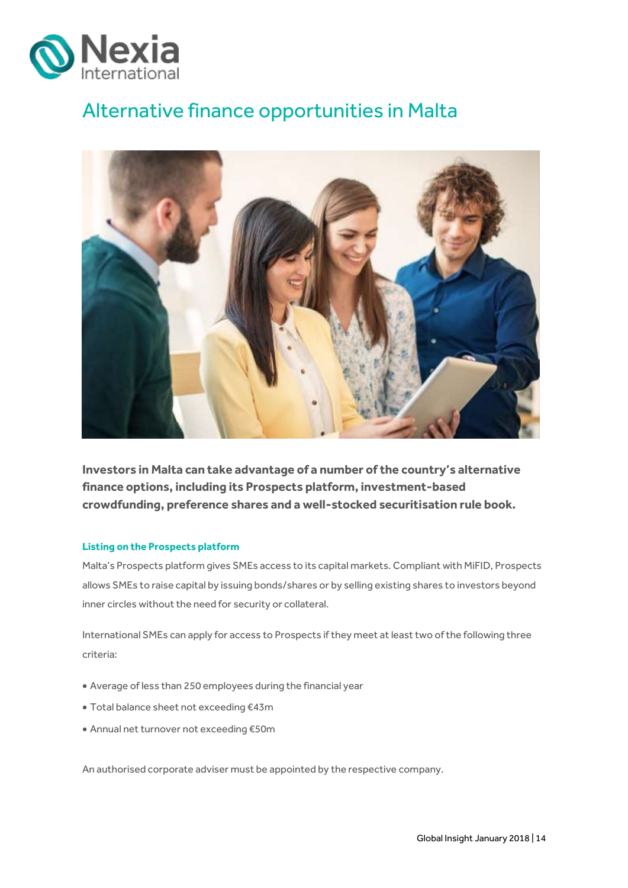

## <span id="page-13-0"></span>Alternative finance opportunities in Malta



**Investors in Malta can take advantage of a number of the country's alternative finance options, including its Prospects platform, investment-based crowdfunding, preference shares and a well-stocked securitisation rule book.** 

#### **Listing on the Prospects platform**

Malta's Prospects platform gives SMEs access to its capital markets. Compliant with MiFID, Prospects allows SMEs to raise capital by issuing bonds/shares or by selling existing shares to investors beyond inner circles without the need for security or collateral.

International SMEs can apply for access to Prospects if they meet at least two of the following three criteria:

- Average of less than 250 employees during the financial year
- Total balance sheet not exceeding €43m
- Annual net turnover not exceeding €50m

An authorised corporate adviser must be appointed by the respective company.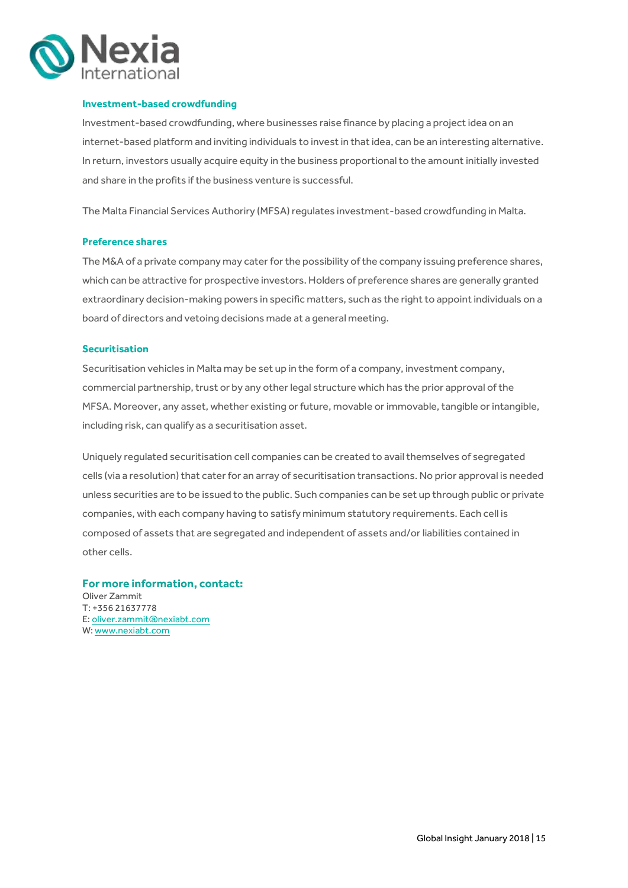

#### **Investment-based crowdfunding**

Investment-based crowdfunding, where businesses raise finance by placing a project idea on an internet-based platform and inviting individuals to invest in that idea, can be an interesting alternative. In return, investors usually acquire equity in the business proportional to the amount initially invested and share in the profits if the business venture is successful.

The Malta Financial Services Authoriry (MFSA) regulates investment-based crowdfunding in Malta.

#### **Preference shares**

The M&A of a private company may cater for the possibility of the company issuing preference shares, which can be attractive for prospective investors. Holders of preference shares are generally granted extraordinary decision-making powers in specific matters, such as the right to appoint individuals on a board of directors and vetoing decisions made at a general meeting.

#### **Securitisation**

Securitisation vehicles in Malta may be set up in the form of a company, investment company, commercial partnership, trust or by any other legal structure which has the prior approval of the MFSA. Moreover, any asset, whether existing or future, movable or immovable, tangible or intangible, including risk, can qualify as a securitisation asset.

Uniquely regulated securitisation cell companies can be created to avail themselves of segregated cells (via a resolution) that cater for an array of securitisation transactions. No prior approval is needed unless securities are to be issued to the public. Such companies can be set up through public or private companies, with each company having to satisfy minimum statutory requirements. Each cell is composed of assets that are segregated and independent of assets and/or liabilities contained in other cells.

#### **For more information, contact:**

Oliver Zammit T: +356 21637778 E[: oliver.zammit@nexiabt.com](mailto:oliver.zammit@nexiabt.com) W[: www.nexiabt.com](http://www.nexiabt.com/)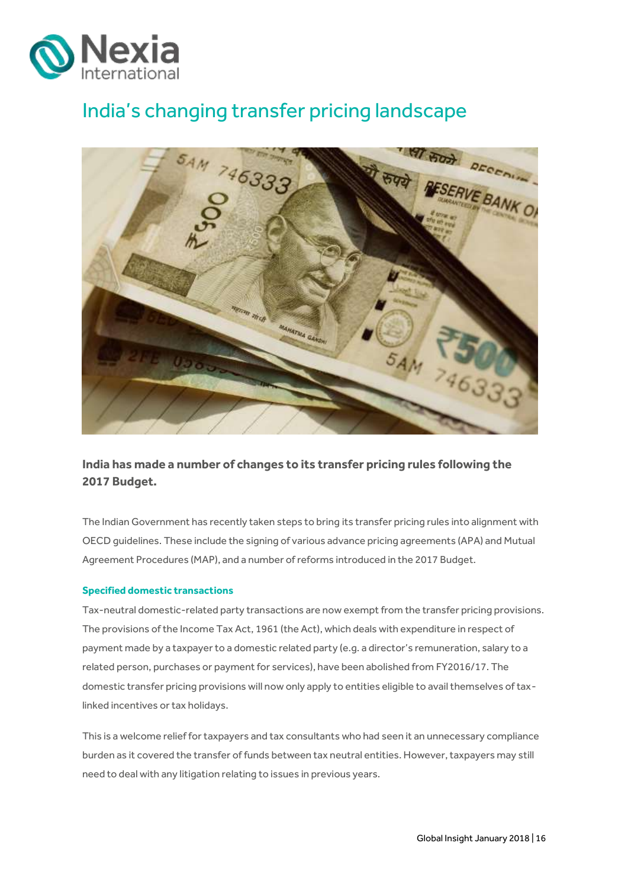

## <span id="page-15-0"></span>India's changing transfer pricing landscape



**India has made a number of changes to its transfer pricing rules following the 2017 Budget.**

The Indian Government has recently taken steps to bring its transfer pricing rules into alignment with OECD guidelines. These include the signing of various advance pricing agreements (APA) and Mutual Agreement Procedures (MAP), and a number of reforms introduced in the 2017 Budget.

#### **Specified domestic transactions**

Tax-neutral domestic-related party transactions are now exempt from the transfer pricing provisions. The provisions of the Income Tax Act, 1961 (the Act), which deals with expenditure in respect of payment made by a taxpayer to a domestic related party (e.g. a director's remuneration, salary to a related person, purchases or payment for services), have been abolished from FY2016/17. The domestic transfer pricing provisions will now only apply to entities eligible to avail themselves of taxlinked incentives or tax holidays.

This is a welcome relief for taxpayers and tax consultants who had seen it an unnecessary compliance burden as it covered the transfer of funds between tax neutral entities. However, taxpayers may still need to deal with any litigation relating to issues in previous years.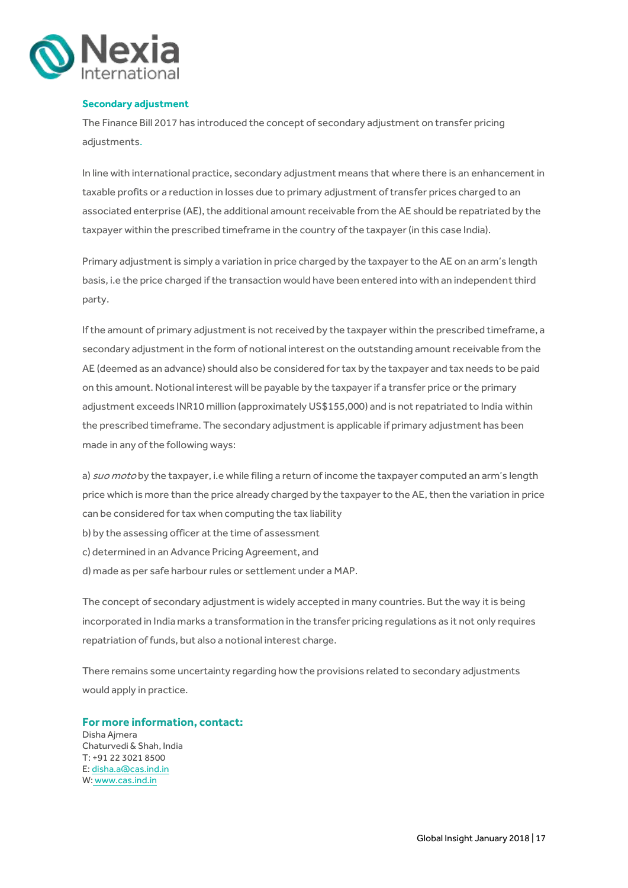

#### **Secondary adjustment**

The Finance Bill 2017 has introduced the concept of secondary adjustment on transfer pricing adjustments.

In line with international practice, secondary adjustment means that where there is an enhancement in taxable profits or a reduction in losses due to primary adjustment of transfer prices charged to an associated enterprise (AE), the additional amount receivable from the AE should be repatriated by the taxpayer within the prescribed timeframe in the country of the taxpayer (in this case India).

Primary adjustment is simply a variation in price charged by the taxpayer to the AE on an arm's length basis, i.e the price charged if the transaction would have been entered into with an independent third party.

If the amount of primary adjustment is not received by the taxpayer within the prescribed timeframe, a secondary adjustment in the form of notional interest on the outstanding amount receivable from the AE (deemed as an advance) should also be considered for tax by the taxpayer and tax needs to be paid on this amount. Notional interest will be payable by the taxpayer if a transfer price or the primary adjustment exceeds INR10 million (approximately US\$155,000) and is not repatriated to India within the prescribed timeframe. The secondary adjustment is applicable if primary adjustment has been made in any of the following ways:

a) suo moto by the taxpayer, i.e while filing a return of income the taxpayer computed an arm's length price which is more than the price already charged by the taxpayer to the AE, then the variation in price can be considered for tax when computing the tax liability

- b) by the assessing officer at the time of assessment
- c) determined in an Advance Pricing Agreement, and
- d) made as per safe harbour rules or settlement under a MAP.

The concept of secondary adjustment is widely accepted in many countries. But the way it is being incorporated in India marks a transformation in the transfer pricing regulations as it not only requires repatriation of funds, but also a notional interest charge.

There remains some uncertainty regarding how the provisions related to secondary adjustments would apply in practice.

**For more information, contact:** Disha Ajmera Chaturvedi & Shah, India T: +91 22 3021 8500 E: [disha.a@cas.ind.in](mailto:disha.a@cas.ind.in) W: [www.cas.ind.in](http://www.cas.ind.in/)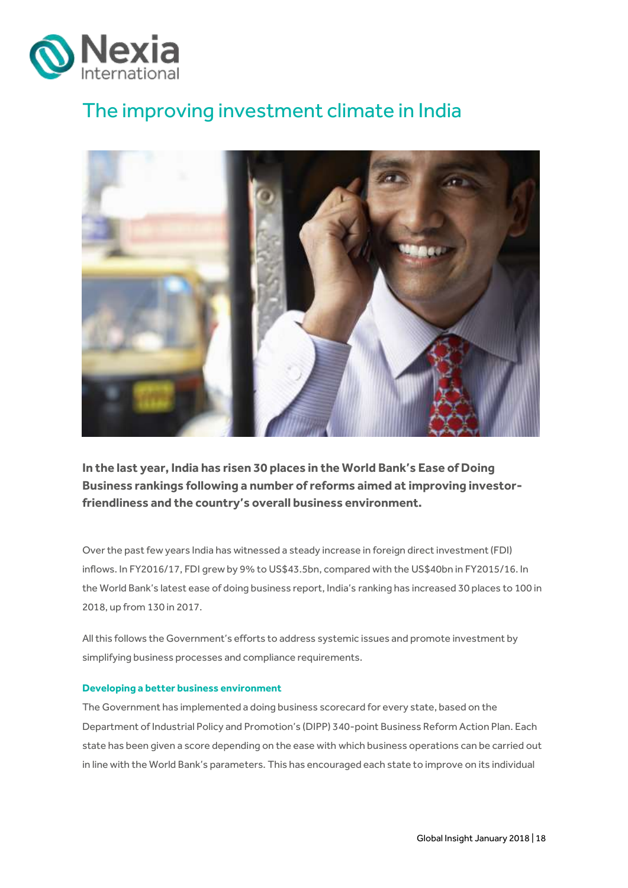

# <span id="page-17-0"></span>The improving investment climate in India



**In the last year, India has risen 30 places in the World Bank's Ease of Doing Business rankings following a number of reforms aimed at improving investorfriendliness and the country's overall business environment.**

Over the past few years India has witnessed a steady increase in foreign direct investment (FDI) inflows. In FY2016/17, FDI grew by 9% to US\$43.5bn, compared with the US\$40bn in FY2015/16. In the World Bank's latest ease of doing business report, India's ranking has increased 30 places to 100 in 2018, up from 130 in 2017.

All this follows the Government's efforts to address systemic issues and promote investment by simplifying business processes and compliance requirements.

#### **Developing a better business environment**

The Government has implemented a doing business scorecard for every state, based on the Department of Industrial Policy and Promotion's (DIPP) 340-point Business Reform Action Plan. Each state has been given a score depending on the ease with which business operations can be carried out in line with the World Bank's parameters. This has encouraged each state to improve on its individual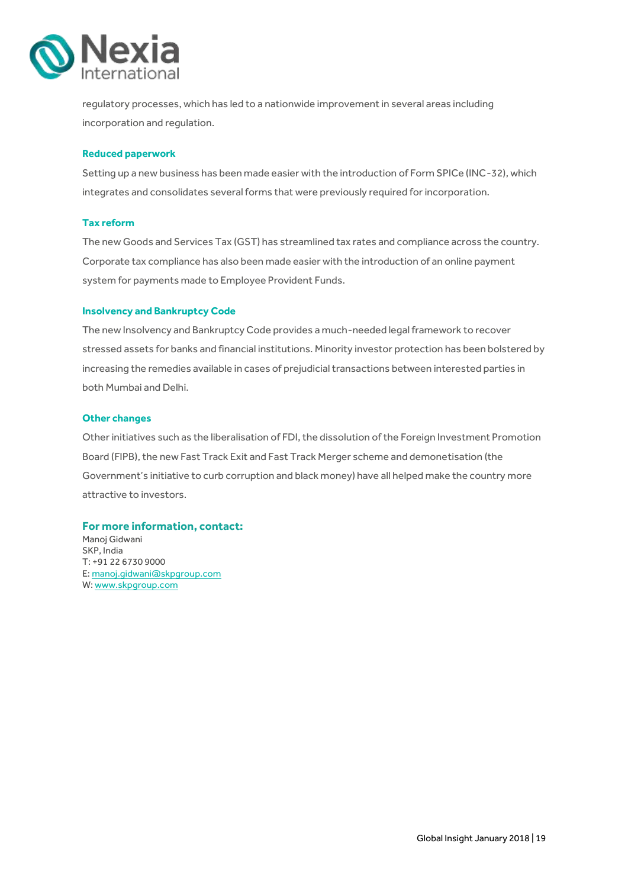

regulatory processes, which has led to a nationwide improvement in several areas including incorporation and regulation.

#### **Reduced paperwork**

Setting up a new business has been made easier with the introduction of Form SPICe (INC-32), which integrates and consolidates several forms that were previously required for incorporation.

#### **Tax reform**

The new Goods and Services Tax (GST) has streamlined tax rates and compliance across the country. Corporate tax compliance has also been made easier with the introduction of an online payment system for payments made to Employee Provident Funds.

#### **Insolvency and Bankruptcy Code**

The new Insolvency and Bankruptcy Code provides a much-needed legal framework to recover stressed assets for banks and financial institutions. Minority investor protection has been bolstered by increasing the remedies available in cases of prejudicial transactions between interested parties in both Mumbai and Delhi.

#### **Other changes**

Other initiatives such as the liberalisation of FDI, the dissolution of the Foreign Investment Promotion Board (FIPB), the new Fast Track Exit and Fast Track Merger scheme and demonetisation (the Government's initiative to curb corruption and black money) have all helped make the country more attractive to investors.

#### **For more information, contact:**

Manoj Gidwani SKP, India T: +91 22 6730 9000 E[: manoj.gidwani@skpgroup.com](mailto:manoj.gidwani@skpgroup.com) W[: www.skpgroup.com](http://www.skpgroup.com/)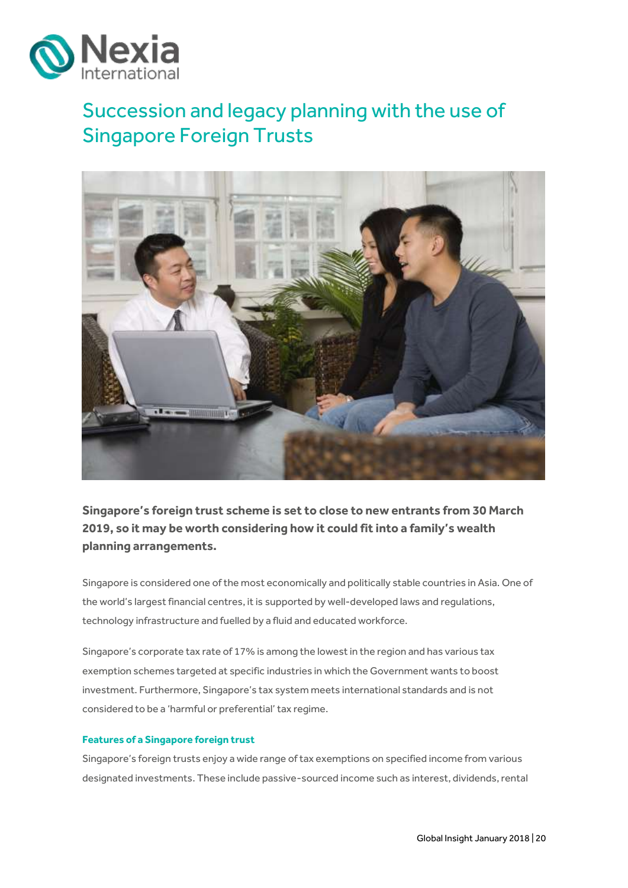

# <span id="page-19-0"></span>Succession and legacy planning with the use of Singapore Foreign Trusts



**Singapore's foreign trust scheme is set to close to new entrants from 30 March 2019, so it may be worth considering how it could fit into a family's wealth planning arrangements.**

Singapore is considered one of the most economically and politically stable countries in Asia. One of the world's largest financial centres, it is supported by well-developed laws and regulations, technology infrastructure and fuelled by a fluid and educated workforce.

Singapore's corporate tax rate of 17% is among the lowest in the region and has various tax exemption schemes targeted at specific industries in which the Government wants to boost investment. Furthermore, Singapore's tax system meets international standards and is not considered to be a 'harmful or preferential' tax regime.

#### **Features of a Singapore foreign trust**

Singapore's foreign trusts enjoy a wide range of tax exemptions on specified income from various designated investments. These include passive-sourced income such as interest, dividends, rental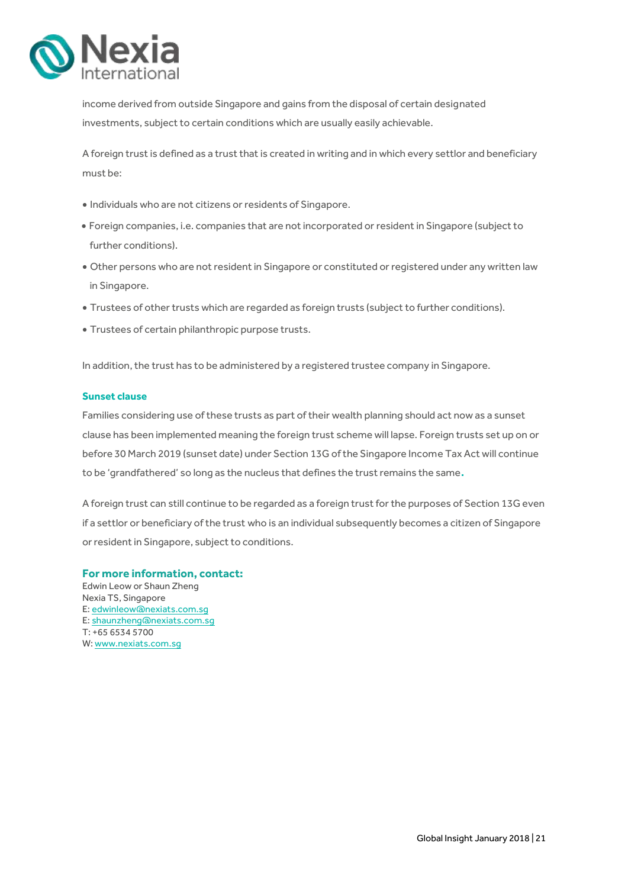

income derived from outside Singapore and gains from the disposal of certain designated investments, subject to certain conditions which are usually easily achievable.

A foreign trust is defined as a trust that is created in writing and in which every settlor and beneficiary must be:

- Individuals who are not citizens or residents of Singapore.
- Foreign companies, i.e. companies that are not incorporated or resident in Singapore (subject to further conditions).
- Other persons who are not resident in Singapore or constituted or registered under any written law in Singapore.
- Trustees of other trusts which are regarded as foreign trusts (subject to further conditions).
- Trustees of certain philanthropic purpose trusts.

In addition, the trust has to be administered by a registered trustee company in Singapore.

#### **Sunset clause**

Families considering use of these trusts as part of their wealth planning should act now as a sunset clause has been implemented meaning the foreign trust scheme will lapse. Foreign trusts set up on or before 30 March 2019 (sunset date) under Section 13G of the Singapore Income Tax Act will continue to be 'grandfathered' so long as the nucleus that defines the trust remains the same**.**

A foreign trust can still continue to be regarded as a foreign trust for the purposes of Section 13G even if a settlor or beneficiary of the trust who is an individual subsequently becomes a citizen of Singapore or resident in Singapore, subject to conditions.

#### **For more information, contact:**

Edwin Leow or Shaun Zheng Nexia TS, Singapore E[: edwinleow@nexiats.com.sg](mailto:edwinleow@nexiats.com.sg) E[: shaunzheng@nexiats.com.sg](mailto:shaunzheng@nexiats.com.sg) T: +65 6534 5700 W[: www.nexiats.com.sg](http://www.nexiats.com.sg/)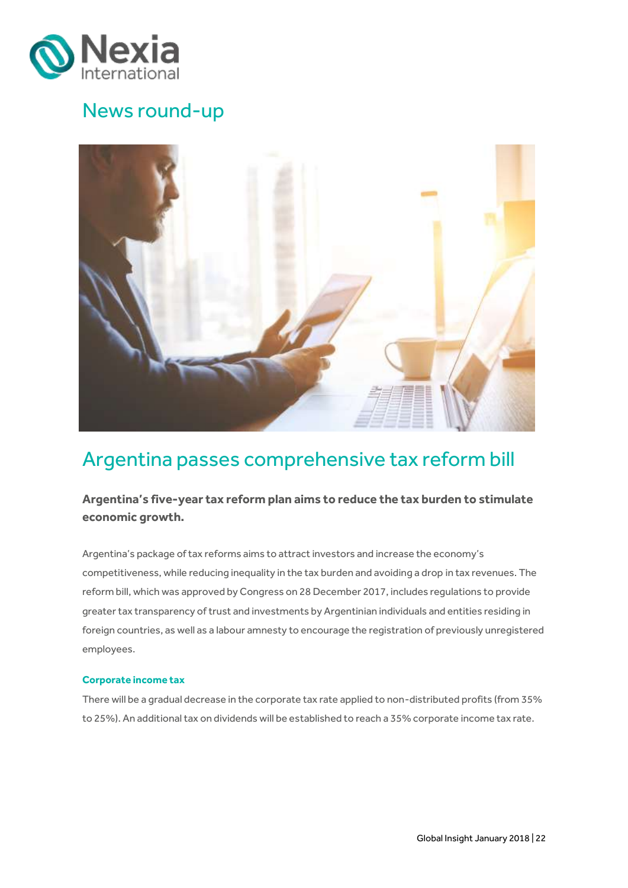

### News round-up



## <span id="page-21-0"></span>Argentina passes comprehensive tax reform bill

### **Argentina's five-year tax reform plan aims to reduce the tax burden to stimulate economic growth.**

Argentina's package of tax reforms aims to attract investors and increase the economy's competitiveness, while reducing inequality in the tax burden and avoiding a drop in tax revenues. The reform bill, which was approved by Congress on 28 December 2017, includes regulations to provide greater tax transparency of trust and investments by Argentinian individuals and entities residing in foreign countries, as well as a labour amnesty to encourage the registration of previously unregistered employees.

#### **Corporate income tax**

There will be a gradual decrease in the corporate tax rate applied to non-distributed profits (from 35% to 25%). An additional tax on dividends will be established to reach a 35% corporate income tax rate.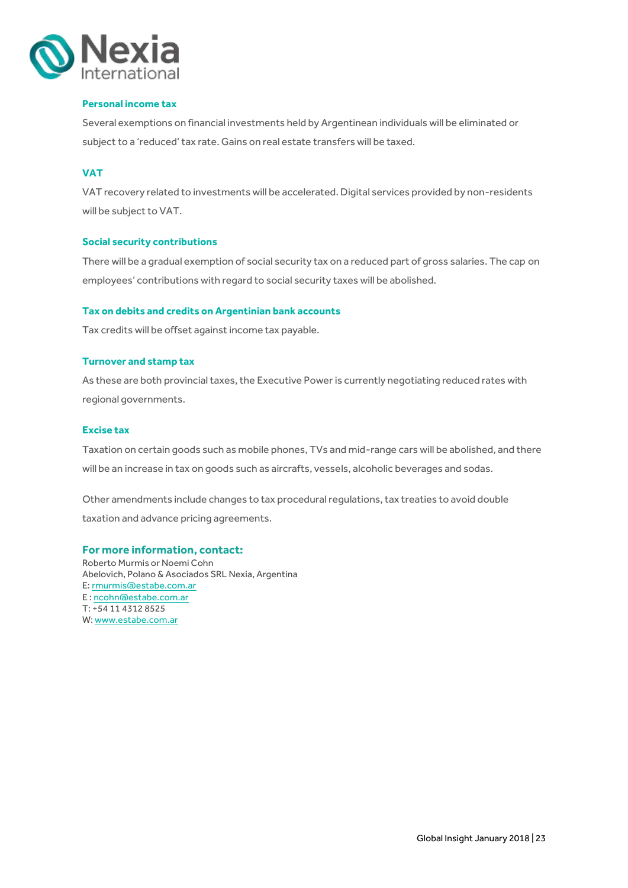

#### **Personal income tax**

Several exemptions on financial investments held by Argentinean individuals will be eliminated or subject to a 'reduced' tax rate. Gains on real estate transfers will be taxed.

### **VAT**

VAT recovery related to investments will be accelerated. Digital services provided by non-residents will be subject to VAT.

#### **Social security contributions**

There will be a gradual exemption of social security tax on a reduced part of gross salaries. The cap on employees' contributions with regard to social security taxes will be abolished.

#### **Tax on debits and credits on Argentinian bank accounts**

Tax credits will be offset against income tax payable.

#### **Turnover and stamp tax**

As these are both provincial taxes, the Executive Power is currently negotiating reduced rates with regional governments.

#### **Excise tax**

Taxation on certain goods such as mobile phones, TVs and mid-range cars will be abolished, and there will be an increase in tax on goods such as aircrafts, vessels, alcoholic beverages and sodas.

Other amendments include changes to tax procedural regulations, tax treaties to avoid double taxation and advance pricing agreements.

#### **For more information, contact:**

Roberto Murmis or Noemi Cohn Abelovich, Polano & Asociados SRL Nexia, Argentina E[: rmurmis@estabe.com.ar](mailto:rmurmis@estabe.com.ar) E [: ncohn@estabe.com.ar](mailto:ncohn@estabe.com.ar) T: +54 11 4312 8525 W[: www.estabe.com.ar](http://www.estabe.com.ar/)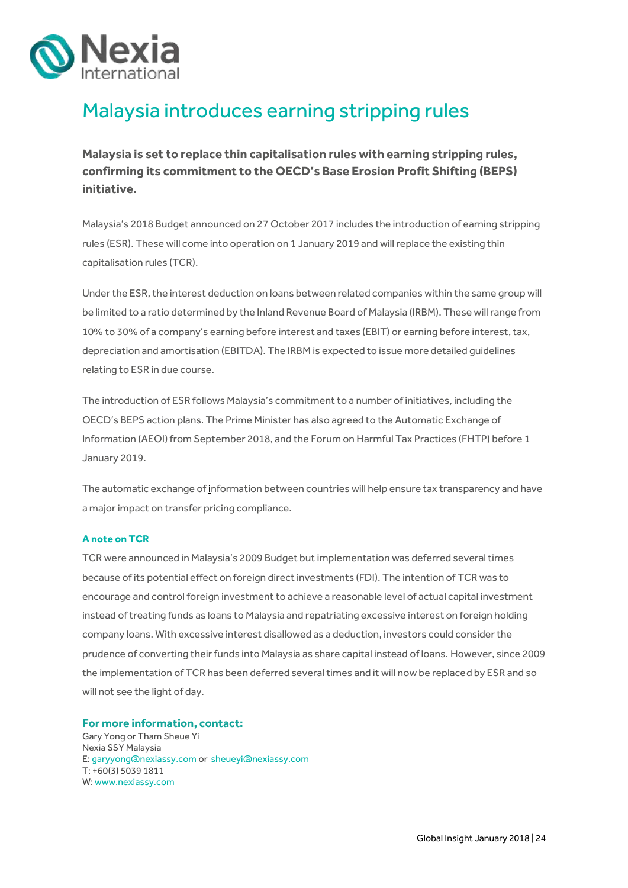

# <span id="page-23-0"></span>Malaysia introduces earning stripping rules

**Malaysia is set to replace thin capitalisation rules with earning stripping rules, confirming its commitment to the OECD's Base Erosion Profit Shifting (BEPS) initiative.**

Malaysia's 2018 Budget announced on 27 October 2017 includes the introduction of earning stripping rules (ESR). These will come into operation on 1 January 2019 and will replace the existing thin capitalisation rules (TCR).

Under the ESR, the interest deduction on loans between related companies within the same group will be limited to a ratio determined by the Inland Revenue Board of Malaysia (IRBM). These will range from 10% to 30% of a company's earning before interest and taxes (EBIT) or earning before interest, tax, depreciation and amortisation (EBITDA). The IRBM is expected to issue more detailed guidelines relating to ESR in due course.

The introduction of ESR follows Malaysia's commitment to a number of initiatives, including the OECD's BEPS action plans. The Prime Minister has also agreed to the Automatic Exchange of Information (AEOI) from September 2018, and the Forum on Harmful Tax Practices (FHTP) before 1 January 2019.

The automatic exchange o[f](mailto:garyyong@nexiassy.comi) information between countries will help ensure tax transparency and have a major impact on transfer pricing compliance.

#### **A note on TCR**

TCR were announced in Malaysia's 2009 Budget but implementation was deferred several times because of its potential effect on foreign direct investments (FDI). The intention of TCR was to encourage and control foreign investment to achieve a reasonable level of actual capital investment instead of treating funds as loans to Malaysia and repatriating excessive interest on foreign holding company loans. With excessive interest disallowed as a deduction, investors could consider the prudence of converting their funds into Malaysia as share capital instead of loans. However, since 2009 the implementation of TCR has been deferred several times and it will now be replaced by ESR and so will not see the light of day.

**For more information, contact:** Gary Yong or Tham Sheue Yi Nexia SSY Malaysia E[: garyyong@nexiassy.com](mailto:garyyong@nexiassy.com) or [sheueyi@nexiassy.com](mailto:sheueyi@nexiassy.com) T[: +60\(3\) 5039 1811](tel:%2B60%283%29%208025%209793) W[: www.nexiassy.com](http://www.nexiassy.com/)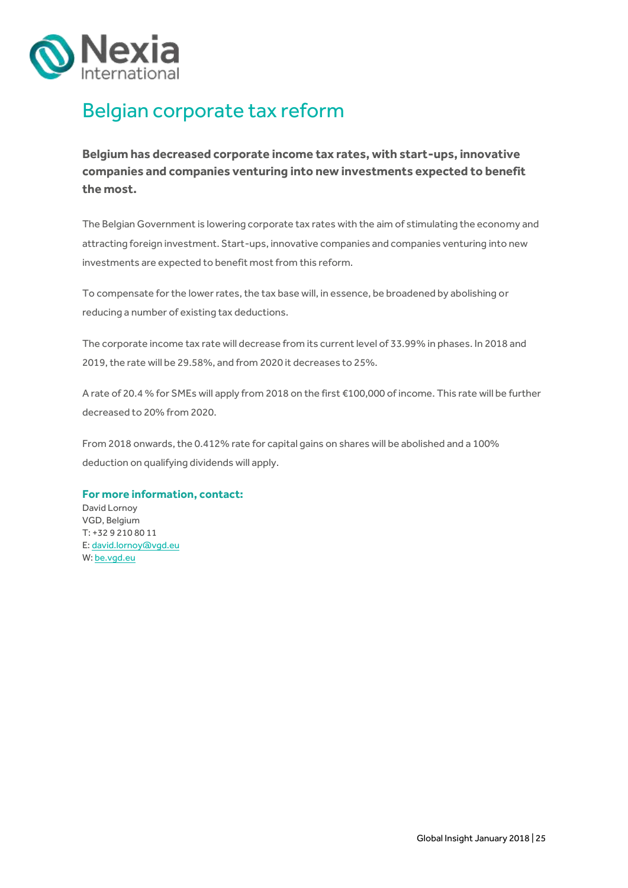

# <span id="page-24-0"></span>Belgian corporate tax reform

**Belgium has decreased corporate income tax rates, with start-ups, innovative companies and companies venturing into new investments expected to benefit the most.** 

The Belgian Government is lowering corporate tax rates with the aim of stimulating the economy and attracting foreign investment. Start-ups, innovative companies and companies venturing into new investments are expected to benefit most from this reform.

To compensate for the lower rates, the tax base will, in essence, be broadened by abolishing or reducing a number of existing tax deductions.

The corporate income tax rate will decrease from its current level of 33.99% in phases. In 2018 and 2019, the rate will be 29.58%, and from 2020 it decreases to 25%.

A rate of 20.4 % for SMEs will apply from 2018 on the first €100,000 of income. This rate will be further decreased to 20% from 2020.

From 2018 onwards, the 0.412% rate for capital gains on shares will be abolished and a 100% deduction on qualifying dividends will apply.

#### **For more information, contact:**

David Lornoy VGD, Belgium T: +32 9 210 80 11 E[: david.lornoy@vgd.eu](mailto:david.lornoy@vgd.eu) W[: be.vgd.eu](http://be.vgd.eu/)